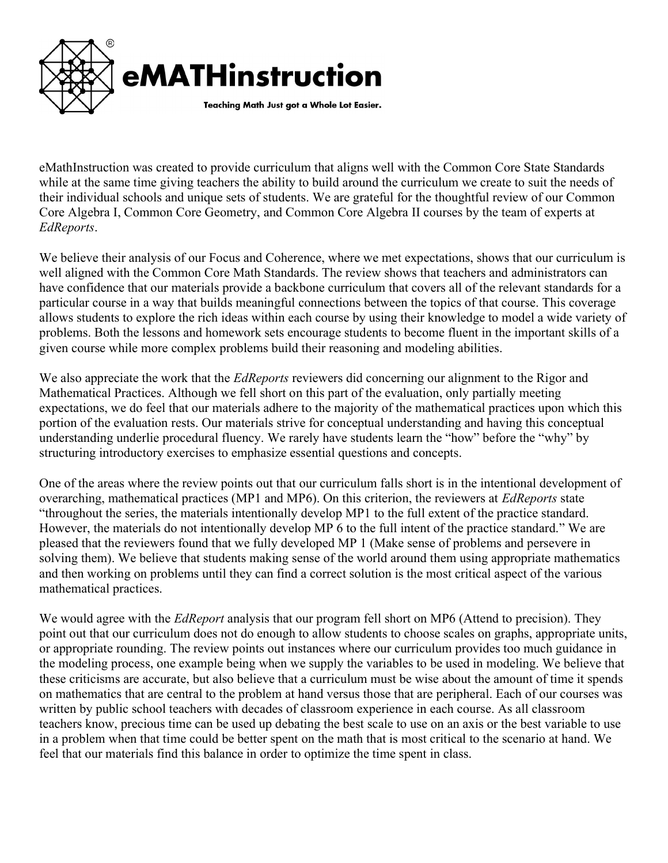

eMathInstruction was created to provide curriculum that aligns well with the Common Core State Standards while at the same time giving teachers the ability to build around the curriculum we create to suit the needs of their individual schools and unique sets of students. We are grateful for the thoughtful review of our Common Core Algebra I, Common Core Geometry, and Common Core Algebra II courses by the team of experts at EdReports.

We believe their analysis of our Focus and Coherence, where we met expectations, shows that our curriculum is well aligned with the Common Core Math Standards. The review shows that teachers and administrators can have confidence that our materials provide a backbone curriculum that covers all of the relevant standards for a particular course in a way that builds meaningful connections between the topics of that course. This coverage allows students to explore the rich ideas within each course by using their knowledge to model a wide variety of problems. Both the lessons and homework sets encourage students to become fluent in the important skills of a given course while more complex problems build their reasoning and modeling abilities.

We also appreciate the work that the *EdReports* reviewers did concerning our alignment to the Rigor and Mathematical Practices. Although we fell short on this part of the evaluation, only partially meeting expectations, we do feel that our materials adhere to the majority of the mathematical practices upon which this portion of the evaluation rests. Our materials strive for conceptual understanding and having this conceptual understanding underlie procedural fluency. We rarely have students learn the "how" before the "why" by structuring introductory exercises to emphasize essential questions and concepts.

One of the areas where the review points out that our curriculum falls short is in the intentional development of overarching, mathematical practices (MP1 and MP6). On this criterion, the reviewers at *EdReports* state "throughout the series, the materials intentionally develop MP1 to the full extent of the practice standard. However, the materials do not intentionally develop MP 6 to the full intent of the practice standard." We are pleased that the reviewers found that we fully developed MP 1 (Make sense of problems and persevere in solving them). We believe that students making sense of the world around them using appropriate mathematics and then working on problems until they can find a correct solution is the most critical aspect of the various mathematical practices.

We would agree with the *EdReport* analysis that our program fell short on MP6 (Attend to precision). They point out that our curriculum does not do enough to allow students to choose scales on graphs, appropriate units, or appropriate rounding. The review points out instances where our curriculum provides too much guidance in the modeling process, one example being when we supply the variables to be used in modeling. We believe that these criticisms are accurate, but also believe that a curriculum must be wise about the amount of time it spends on mathematics that are central to the problem at hand versus those that are peripheral. Each of our courses was written by public school teachers with decades of classroom experience in each course. As all classroom teachers know, precious time can be used up debating the best scale to use on an axis or the best variable to use in a problem when that time could be better spent on the math that is most critical to the scenario at hand. We feel that our materials find this balance in order to optimize the time spent in class.